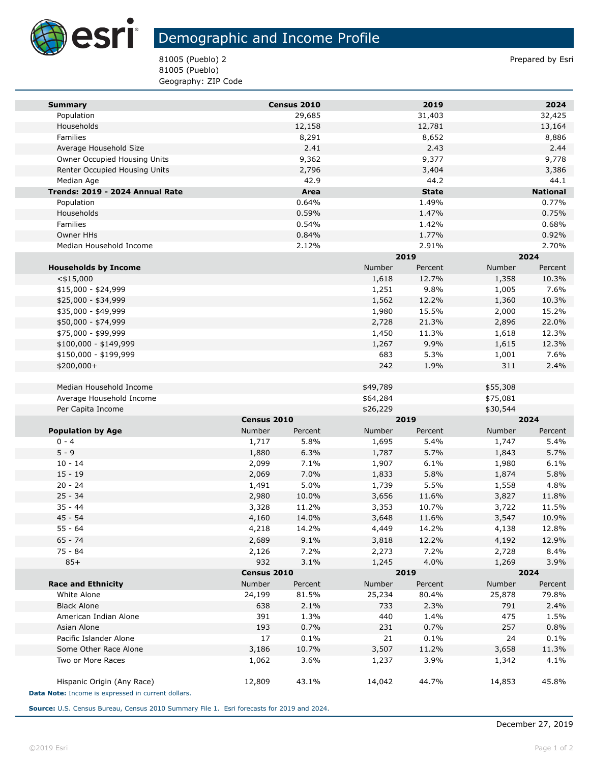

## Demographic and Income Profile

81005 (Pueblo) 2 Prepared by Esri 81005 (Pueblo) Geography: ZIP Code

| <b>Summary</b>                                     |             | Census 2010 |          | 2019         |               | 2024            |  |
|----------------------------------------------------|-------------|-------------|----------|--------------|---------------|-----------------|--|
| Population                                         |             | 29,685      |          | 31,403       |               | 32,425          |  |
| Households                                         |             | 12,158      |          | 12,781       |               | 13,164          |  |
| Families                                           |             | 8,291       |          | 8,652        |               | 8,886           |  |
| Average Household Size                             |             | 2.41        |          | 2.43         |               | 2.44            |  |
| Owner Occupied Housing Units                       |             | 9,362       |          | 9,377        |               | 9,778           |  |
| Renter Occupied Housing Units                      |             | 2,796       |          | 3,404        |               | 3,386           |  |
| Median Age                                         |             | 42.9        |          | 44.2         |               | 44.1            |  |
| Trends: 2019 - 2024 Annual Rate                    |             | Area        |          | <b>State</b> |               | <b>National</b> |  |
| Population                                         |             | 0.64%       |          | 1.49%        |               | 0.77%           |  |
| Households                                         |             | 0.59%       |          | 1.47%        |               | 0.75%           |  |
| Families                                           |             | 0.54%       |          | 1.42%        |               | 0.68%           |  |
| Owner HHs                                          |             | 0.84%       |          | 1.77%        |               | 0.92%           |  |
| Median Household Income                            |             | 2.12%       |          | 2.91%        |               | 2.70%           |  |
|                                                    |             |             |          | 2019         |               | 2024            |  |
| <b>Households by Income</b>                        |             |             | Number   | Percent      | Number        | Percent         |  |
| $<$ \$15,000                                       |             |             | 1,618    | 12.7%        | 1,358         | 10.3%           |  |
| $$15,000 - $24,999$                                |             |             | 1,251    | 9.8%         | 1,005         | 7.6%            |  |
| \$25,000 - \$34,999                                |             |             | 1,562    | 12.2%        | 1,360         | 10.3%           |  |
| \$35,000 - \$49,999                                |             |             | 1,980    | 15.5%        | 2,000         | 15.2%           |  |
| \$50,000 - \$74,999                                |             |             | 2,728    | 21.3%        | 2,896         | 22.0%           |  |
| \$75,000 - \$99,999                                |             |             | 1,450    | 11.3%        | 1,618         | 12.3%           |  |
| \$100,000 - \$149,999                              |             |             | 1,267    | 9.9%         | 1,615         | 12.3%           |  |
| \$150,000 - \$199,999                              |             |             | 683      | 5.3%         | 1,001         | 7.6%            |  |
| \$200,000+                                         |             |             | 242      | 1.9%         | 311           | 2.4%            |  |
|                                                    |             |             |          |              |               |                 |  |
| Median Household Income                            |             |             | \$49,789 |              | \$55,308      |                 |  |
| Average Household Income                           |             |             | \$64,284 |              | \$75,081      |                 |  |
| Per Capita Income                                  |             |             | \$26,229 |              | \$30,544      |                 |  |
|                                                    | Census 2010 |             | 2019     |              | 2024          |                 |  |
| <b>Population by Age</b>                           | Number      | Percent     | Number   | Percent      | Number        | Percent         |  |
| $0 - 4$                                            | 1,717       | 5.8%        | 1,695    | 5.4%         | 1,747         | 5.4%            |  |
| $5 - 9$                                            | 1,880       | 6.3%        | 1,787    | 5.7%         | 1,843         | 5.7%            |  |
| $10 - 14$                                          | 2,099       | 7.1%        | 1,907    | 6.1%         | 1,980         | 6.1%            |  |
| $15 - 19$                                          | 2,069       | 7.0%        | 1,833    | 5.8%         | 1,874         | 5.8%            |  |
| $20 - 24$                                          | 1,491       | 5.0%        | 1,739    | 5.5%         | 1,558         | 4.8%            |  |
| $25 - 34$                                          | 2,980       | 10.0%       | 3,656    | 11.6%        | 3,827         | 11.8%           |  |
| $35 - 44$                                          | 3,328       | 11.2%       | 3,353    | 10.7%        | 3,722         | 11.5%           |  |
| $45 - 54$                                          | 4,160       | 14.0%       | 3,648    | 11.6%        | 3,547         | 10.9%           |  |
| $55 - 64$                                          | 4,218       | 14.2%       | 4,449    | 14.2%        | 4,138         | 12.8%           |  |
| $65 - 74$                                          | 2,689       | 9.1%        | 3,818    | 12.2%        | 4,192         | 12.9%           |  |
| 75 - 84                                            | 2,126       | 7.2%        | 2,273    | 7.2%         | 2,728         | 8.4%            |  |
| $85+$                                              | 932         | 3.1%        | 1,245    | 4.0%         | 1,269         | 3.9%            |  |
|                                                    |             | Census 2010 |          | 2019         | 2024          |                 |  |
| <b>Race and Ethnicity</b>                          | Number      | Percent     | Number   | Percent      | <b>Number</b> | Percent         |  |
| White Alone                                        | 24,199      | 81.5%       | 25,234   | 80.4%        | 25,878        | 79.8%           |  |
| <b>Black Alone</b>                                 | 638         | 2.1%        | 733      | 2.3%         | 791           | 2.4%            |  |
| American Indian Alone                              | 391         | 1.3%        | 440      | 1.4%         | 475           | 1.5%            |  |
| Asian Alone                                        | 193         | 0.7%        | 231      | 0.7%         | 257           | 0.8%            |  |
| Pacific Islander Alone                             | 17          | 0.1%        | 21       | 0.1%         | 24            | 0.1%            |  |
| Some Other Race Alone                              | 3,186       | 10.7%       | 3,507    | 11.2%        | 3,658         | 11.3%           |  |
| Two or More Races                                  | 1,062       | 3.6%        | 1,237    | 3.9%         | 1,342         | 4.1%            |  |
|                                                    |             |             |          |              |               |                 |  |
| Hispanic Origin (Any Race)                         | 12,809      | 43.1%       | 14,042   | 44.7%        | 14,853        | 45.8%           |  |
| Data Note: Income is expressed in current dollars. |             |             |          |              |               |                 |  |

**Source:** U.S. Census Bureau, Census 2010 Summary File 1. Esri forecasts for 2019 and 2024.